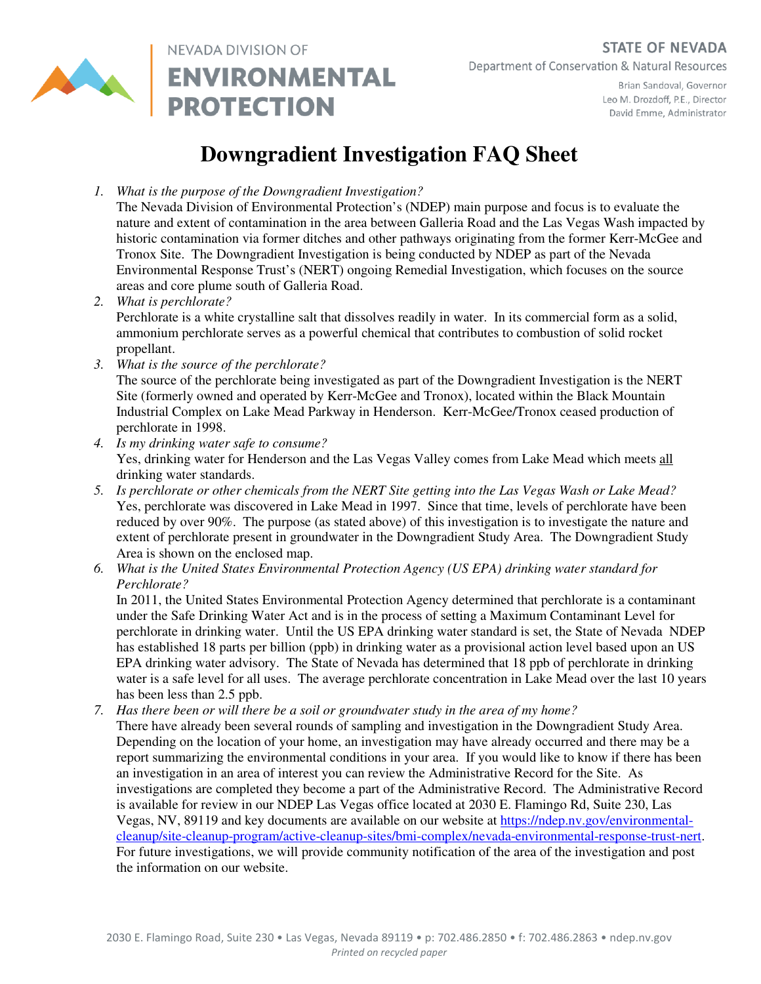

NEVADA DIVISION OF **ENVIRONMENTAL PROTECTION** 

Brian Sandoval, Governor Leo M. Drozdoff, P.E., Director David Emme, Administrator

## **Downgradient Investigation FAQ Sheet**

*1. What is the purpose of the Downgradient Investigation?* 

The Nevada Division of Environmental Protection's (NDEP) main purpose and focus is to evaluate the nature and extent of contamination in the area between Galleria Road and the Las Vegas Wash impacted by historic contamination via former ditches and other pathways originating from the former Kerr-McGee and Tronox Site. The Downgradient Investigation is being conducted by NDEP as part of the Nevada Environmental Response Trust's (NERT) ongoing Remedial Investigation, which focuses on the source areas and core plume south of Galleria Road.

- *2. What is perchlorate?*  Perchlorate is a white crystalline salt that dissolves readily in water. In its commercial form as a solid, ammonium perchlorate serves as a powerful chemical that contributes to combustion of solid rocket propellant.
- *3. What is the source of the perchlorate?*

The source of the perchlorate being investigated as part of the Downgradient Investigation is the NERT Site (formerly owned and operated by Kerr-McGee and Tronox), located within the Black Mountain Industrial Complex on Lake Mead Parkway in Henderson. Kerr-McGee/Tronox ceased production of perchlorate in 1998.

- *4. Is my drinking water safe to consume?*  Yes, drinking water for Henderson and the Las Vegas Valley comes from Lake Mead which meets all drinking water standards.
- *5. Is perchlorate or other chemicals from the NERT Site getting into the Las Vegas Wash or Lake Mead?*  Yes, perchlorate was discovered in Lake Mead in 1997. Since that time, levels of perchlorate have been reduced by over 90%. The purpose (as stated above) of this investigation is to investigate the nature and extent of perchlorate present in groundwater in the Downgradient Study Area. The Downgradient Study Area is shown on the enclosed map.
- *6. What is the United States Environmental Protection Agency (US EPA) drinking water standard for Perchlorate?*

In 2011, the United States Environmental Protection Agency determined that perchlorate is a contaminant under the Safe Drinking Water Act and is in the process of setting a Maximum Contaminant Level for perchlorate in drinking water. Until the US EPA drinking water standard is set, the State of Nevada NDEP has established 18 parts per billion (ppb) in drinking water as a provisional action level based upon an US EPA drinking water advisory. The State of Nevada has determined that 18 ppb of perchlorate in drinking water is a safe level for all uses. The average perchlorate concentration in Lake Mead over the last 10 years has been less than 2.5 ppb.

*7. Has there been or will there be a soil or groundwater study in the area of my home?*  There have already been several rounds of sampling and investigation in the Downgradient Study Area. Depending on the location of your home, an investigation may have already occurred and there may be a report summarizing the environmental conditions in your area. If you would like to know if there has been an investigation in an area of interest you can review the Administrative Record for the Site. As investigations are completed they become a part of the Administrative Record. The Administrative Record is available for review in our NDEP Las Vegas office located at 2030 E. Flamingo Rd, Suite 230, Las Vegas, NV, 89119 and key documents are available on our website at https://ndep.nv.gov/environmentalcleanup/site-cleanup-program/active-cleanup-sites/bmi-complex/nevada-environmental-response-trust-nert. For future investigations, we will provide community notification of the area of the investigation and post the information on our website.